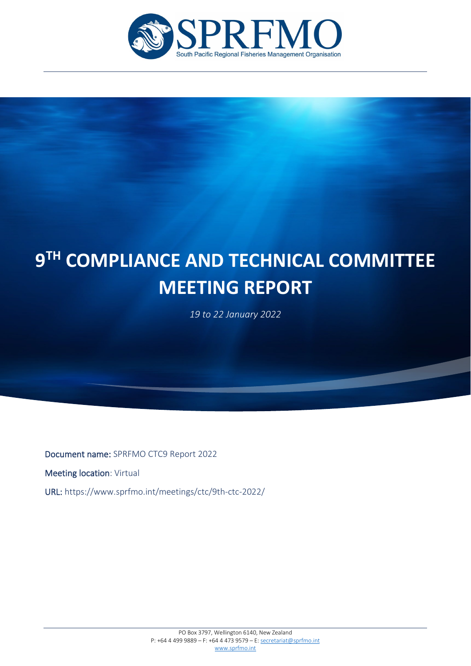

# l **9TH COMPLIANCE AND TECHNICAL COMMITTEE MEETING REPORT**

*19 to 22 January 2022*

Document name: SPRFMO CTC9 Report 2022

Meeting location: Virtual

i

URL: https://www.sprfmo.int/meetings/ctc/9th-ctc-2022/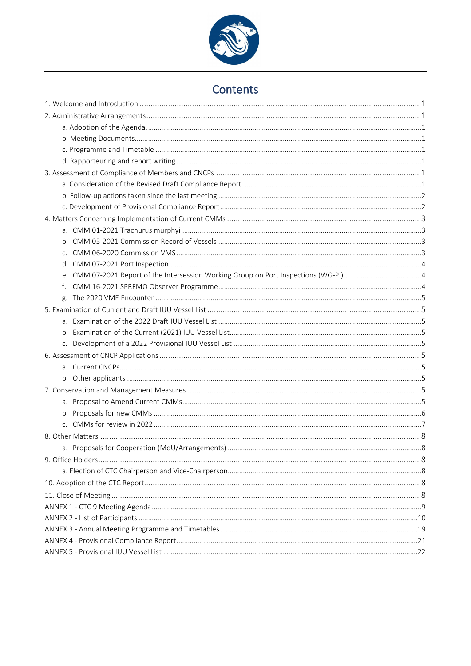

# Contents

| f. |  |
|----|--|
|    |  |
|    |  |
|    |  |
|    |  |
|    |  |
|    |  |
|    |  |
|    |  |
|    |  |
|    |  |
|    |  |
|    |  |
|    |  |
|    |  |
|    |  |
|    |  |
|    |  |
|    |  |
|    |  |
|    |  |
|    |  |
|    |  |
|    |  |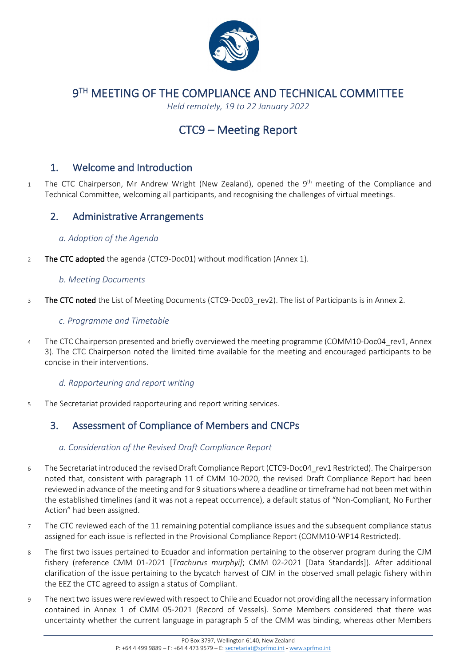

9TH MEETING OF THE COMPLIANCE AND TECHNICAL COMMITTEE

*Held remotely, 19 to 22 January 2022*

# CTC9 – Meeting Report

## <span id="page-3-0"></span>1. Welcome and Introduction

1 The CTC Chairperson, Mr Andrew Wright (New Zealand), opened the 9<sup>th</sup> meeting of the Compliance and Technical Committee, welcoming all participants, and recognising the challenges of virtual meetings.

## <span id="page-3-1"></span>2. Administrative Arrangements

### <span id="page-3-2"></span>*a. Adoption of the Agenda*

2 The CTC adopted the agenda (CTC9-Doc01) without modification (Annex 1).

### <span id="page-3-3"></span>*b. Meeting Documents*

3 The CTC noted the List of Meeting Documents (CTC9-Doc03 rev2). The list of Participants is in Annex 2.

### <span id="page-3-4"></span>*c. Programme and Timetable*

4 The CTC Chairperson presented and briefly overviewed the meeting programme (COMM10-Doc04 rev1, Annex 3). The CTC Chairperson noted the limited time available for the meeting and encouraged participants to be concise in their interventions.

### <span id="page-3-5"></span>*d. Rapporteuring and report writing*

5 The Secretariat provided rapporteuring and report writing services.

## <span id="page-3-6"></span>3. Assessment of Compliance of Members and CNCPs

### <span id="page-3-7"></span>*a. Consideration of the Revised Draft Compliance Report*

- 6 The Secretariat introduced the revised Draft Compliance Report (CTC9-Doc04\_rev1 Restricted). The Chairperson noted that, consistent with paragraph 11 of CMM 10-2020, the revised Draft Compliance Report had been reviewed in advance of the meeting and for 9 situations where a deadline or timeframe had not been met within the established timelines (and it was not a repeat occurrence), a default status of "Non-Compliant, No Further Action" had been assigned.
- 7 The CTC reviewed each of the 11 remaining potential compliance issues and the subsequent compliance status assigned for each issue is reflected in the Provisional Compliance Report (COMM10-WP14 Restricted).
- 8 The first two issues pertained to Ecuador and information pertaining to the observer program during the CJM fishery (reference CMM 01-2021 [*Trachurus murphyi]*; CMM 02-2021 [Data Standards]). After additional clarification of the issue pertaining to the bycatch harvest of CJM in the observed small pelagic fishery within the EEZ the CTC agreed to assign a status of Compliant.
- 9 The next two issues were reviewed with respect to Chile and Ecuador not providing all the necessary information contained in Annex 1 of CMM 05-2021 (Record of Vessels). Some Members considered that there was uncertainty whether the current language in paragraph 5 of the CMM was binding, whereas other Members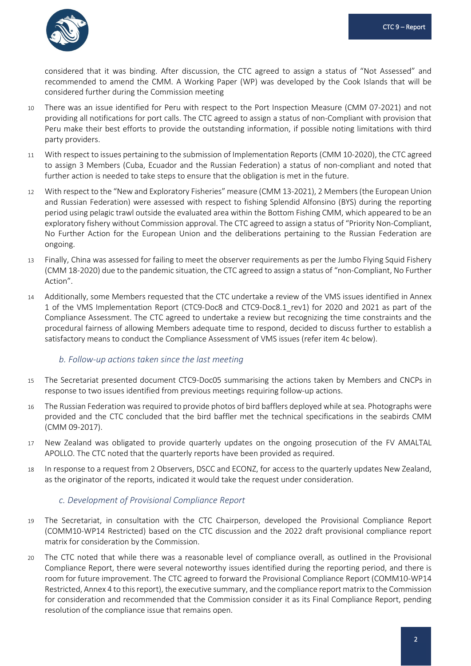

considered that it was binding. After discussion, the CTC agreed to assign a status of "Not Assessed" and recommended to amend the CMM. A Working Paper (WP) was developed by the Cook Islands that will be considered further during the Commission meeting

- 10 There was an issue identified for Peru with respect to the Port Inspection Measure (CMM 07-2021) and not providing all notifications for port calls. The CTC agreed to assign a status of non-Compliant with provision that Peru make their best efforts to provide the outstanding information, if possible noting limitations with third party providers.
- 11 With respect to issues pertaining to the submission of Implementation Reports (CMM 10-2020), the CTC agreed to assign 3 Members (Cuba, Ecuador and the Russian Federation) a status of non-compliant and noted that further action is needed to take steps to ensure that the obligation is met in the future.
- 12 With respect to the "New and Exploratory Fisheries" measure (CMM 13-2021), 2 Members (the European Union and Russian Federation) were assessed with respect to fishing Splendid Alfonsino (BYS) during the reporting period using pelagic trawl outside the evaluated area within the Bottom Fishing CMM, which appeared to be an exploratory fishery without Commission approval. The CTC agreed to assign a status of "Priority Non-Compliant, No Further Action for the European Union and the deliberations pertaining to the Russian Federation are ongoing.
- 13 Finally, China was assessed for failing to meet the observer requirements as per the Jumbo Flying Squid Fishery (CMM 18-2020) due to the pandemic situation, the CTC agreed to assign a status of "non-Compliant, No Further Action".
- 14 Additionally, some Members requested that the CTC undertake a review of the VMS issues identified in Annex 1 of the VMS Implementation Report (CTC9-Doc8 and CTC9-Doc8.1\_rev1) for 2020 and 2021 as part of the Compliance Assessment. The CTC agreed to undertake a review but recognizing the time constraints and the procedural fairness of allowing Members adequate time to respond, decided to discuss further to establish a satisfactory means to conduct the Compliance Assessment of VMS issues (refer item 4c below).

### <span id="page-4-0"></span>*b. Follow-up actions taken since the last meeting*

- 15 The Secretariat presented document CTC9-Doc05 summarising the actions taken by Members and CNCPs in response to two issues identified from previous meetings requiring follow-up actions.
- 16 The Russian Federation was required to provide photos of bird bafflers deployed while at sea. Photographs were provided and the CTC concluded that the bird baffler met the technical specifications in the seabirds CMM (CMM 09-2017).
- 17 New Zealand was obligated to provide quarterly updates on the ongoing prosecution of the FV AMALTAL APOLLO. The CTC noted that the quarterly reports have been provided as required.
- 18 In response to a request from 2 Observers, DSCC and ECONZ, for access to the quarterly updates New Zealand, as the originator of the reports, indicated it would take the request under consideration.

#### <span id="page-4-1"></span>*c. Development of Provisional Compliance Report*

- 19 The Secretariat, in consultation with the CTC Chairperson, developed the Provisional Compliance Report (COMM10-WP14 Restricted) based on the CTC discussion and the 2022 draft provisional compliance report matrix for consideration by the Commission.
- 20 The CTC noted that while there was a reasonable level of compliance overall, as outlined in the Provisional Compliance Report, there were several noteworthy issues identified during the reporting period, and there is room for future improvement. The CTC agreed to forward the Provisional Compliance Report (COMM10-WP14 Restricted, Annex 4 to this report), the executive summary, and the compliance report matrix to the Commission for consideration and recommended that the Commission consider it as its Final Compliance Report, pending resolution of the compliance issue that remains open.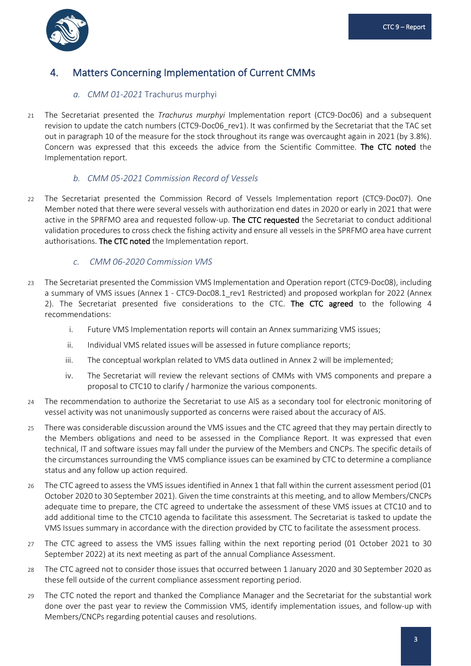

## <span id="page-5-1"></span><span id="page-5-0"></span>4. Matters Concerning Implementation of Current CMMs

### *a. CMM 01-2021* Trachurus murphyi

21 The Secretariat presented the *Trachurus murphyi* Implementation report (CTC9-Doc06) and a subsequent revision to update the catch numbers (CTC9-Doc06 rev1). It was confirmed by the Secretariat that the TAC set out in paragraph 10 of the measure for the stock throughout its range was overcaught again in 2021 (by 3.8%). Concern was expressed that this exceeds the advice from the Scientific Committee. The CTC noted the Implementation report.

### <span id="page-5-2"></span>*b. CMM 05-2021 Commission Record of Vessels*

22 The Secretariat presented the Commission Record of Vessels Implementation report (CTC9-Doc07). One Member noted that there were several vessels with authorization end dates in 2020 or early in 2021 that were active in the SPRFMO area and requested follow-up. The CTC requested the Secretariat to conduct additional validation procedures to cross check the fishing activity and ensure all vessels in the SPRFMO area have current authorisations. The CTC noted the Implementation report.

### <span id="page-5-3"></span>*c. CMM 06-2020 Commission VMS*

- 23 The Secretariat presented the Commission VMS Implementation and Operation report (CTC9-Doc08), including a summary of VMS issues (Annex 1 - CTC9-Doc08.1 rev1 Restricted) and proposed workplan for 2022 (Annex 2). The Secretariat presented five considerations to the CTC. The CTC agreed to the following 4 recommendations:
	- i. Future VMS Implementation reports will contain an Annex summarizing VMS issues;
	- ii. Individual VMS related issues will be assessed in future compliance reports;
	- iii. The conceptual workplan related to VMS data outlined in Annex 2 will be implemented;
	- iv. The Secretariat will review the relevant sections of CMMs with VMS components and prepare a proposal to CTC10 to clarify / harmonize the various components.
- 24 The recommendation to authorize the Secretariat to use AIS as a secondary tool for electronic monitoring of vessel activity was not unanimously supported as concerns were raised about the accuracy of AIS.
- 25 There was considerable discussion around the VMS issues and the CTC agreed that they may pertain directly to the Members obligations and need to be assessed in the Compliance Report. It was expressed that even technical, IT and software issues may fall under the purview of the Members and CNCPs. The specific details of the circumstances surrounding the VMS compliance issues can be examined by CTC to determine a compliance status and any follow up action required.
- 26 The CTC agreed to assess the VMS issues identified in Annex 1 that fall within the current assessment period (01 October 2020 to 30 September 2021). Given the time constraints at this meeting, and to allow Members/CNCPs adequate time to prepare, the CTC agreed to undertake the assessment of these VMS issues at CTC10 and to add additional time to the CTC10 agenda to facilitate this assessment. The Secretariat is tasked to update the VMS Issues summary in accordance with the direction provided by CTC to facilitate the assessment process.
- 27 The CTC agreed to assess the VMS issues falling within the next reporting period (01 October 2021 to 30 September 2022) at its next meeting as part of the annual Compliance Assessment.
- 28 The CTC agreed not to consider those issues that occurred between 1 January 2020 and 30 September 2020 as these fell outside of the current compliance assessment reporting period.
- 29 The CTC noted the report and thanked the Compliance Manager and the Secretariat for the substantial work done over the past year to review the Commission VMS, identify implementation issues, and follow-up with Members/CNCPs regarding potential causes and resolutions.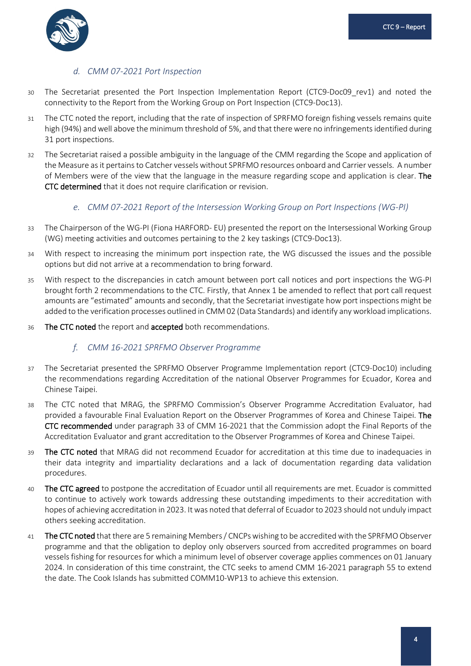

### *d. CMM 07-2021 Port Inspection*

- <span id="page-6-0"></span>30 The Secretariat presented the Port Inspection Implementation Report (CTC9-Doc09\_rev1) and noted the connectivity to the Report from the Working Group on Port Inspection (CTC9-Doc13).
- 31 The CTC noted the report, including that the rate of inspection of SPRFMO foreign fishing vessels remains quite high (94%) and well above the minimum threshold of 5%, and that there were no infringements identified during 31 port inspections.
- 32 The Secretariat raised a possible ambiguity in the language of the CMM regarding the Scope and application of the Measure as it pertains to Catcher vessels without SPRFMO resources onboard and Carrier vessels. A number of Members were of the view that the language in the measure regarding scope and application is clear. The CTC determined that it does not require clarification or revision.

### <span id="page-6-1"></span>*e. CMM 07-2021 Report of the Intersession Working Group on Port Inspections (WG-PI)*

- 33 The Chairperson of the WG-PI (Fiona HARFORD- EU) presented the report on the Intersessional Working Group (WG) meeting activities and outcomes pertaining to the 2 key taskings (CTC9-Doc13).
- 34 With respect to increasing the minimum port inspection rate, the WG discussed the issues and the possible options but did not arrive at a recommendation to bring forward.
- 35 With respect to the discrepancies in catch amount between port call notices and port inspections the WG-PI brought forth 2 recommendations to the CTC. Firstly, that Annex 1 be amended to reflect that port call request amounts are "estimated" amounts and secondly, that the Secretariat investigate how port inspections might be added to the verification processes outlined in CMM 02 (Data Standards) and identify any workload implications.
- <span id="page-6-2"></span>36 The CTC noted the report and accepted both recommendations.

### *f. CMM 16-2021 SPRFMO Observer Programme*

- 37 The Secretariat presented the SPRFMO Observer Programme Implementation report (CTC9-Doc10) including the recommendations regarding Accreditation of the national Observer Programmes for Ecuador, Korea and Chinese Taipei.
- 38 The CTC noted that MRAG, the SPRFMO Commission's Observer Programme Accreditation Evaluator, had provided a favourable Final Evaluation Report on the Observer Programmes of Korea and Chinese Taipei. The CTC recommended under paragraph 33 of CMM 16-2021 that the Commission adopt the Final Reports of the Accreditation Evaluator and grant accreditation to the Observer Programmes of Korea and Chinese Taipei.
- 39 The CTC noted that MRAG did not recommend Ecuador for accreditation at this time due to inadequacies in their data integrity and impartiality declarations and a lack of documentation regarding data validation procedures.
- 40 The CTC agreed to postpone the accreditation of Ecuador until all requirements are met. Ecuador is committed to continue to actively work towards addressing these outstanding impediments to their accreditation with hopes of achieving accreditation in 2023. It was noted that deferral of Ecuador to 2023 should not unduly impact others seeking accreditation.
- 41 The CTC noted that there are 5 remaining Members / CNCPs wishing to be accredited with the SPRFMO Observer programme and that the obligation to deploy only observers sourced from accredited programmes on board vessels fishing for resources for which a minimum level of observer coverage applies commences on 01 January 2024. In consideration of this time constraint, the CTC seeks to amend CMM 16-2021 paragraph 55 to extend the date. The Cook Islands has submitted COMM10-WP13 to achieve this extension.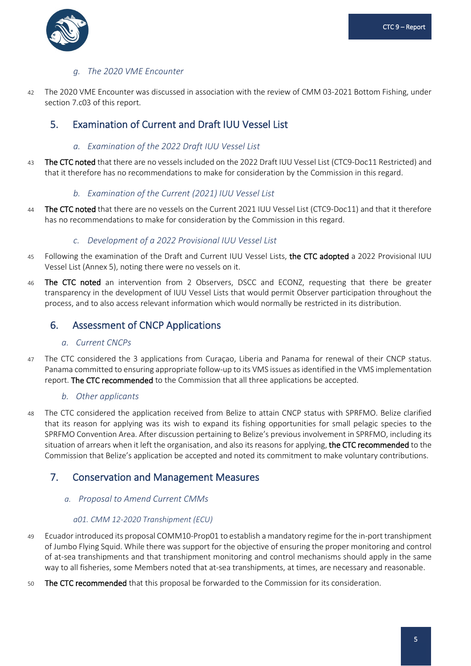

### *g. The 2020 VME Encounter*

<span id="page-7-0"></span>42 The 2020 VME Encounter was discussed in association with the review of CMM 03-2021 Bottom Fishing, under section 7.c03 of this report.

## <span id="page-7-2"></span><span id="page-7-1"></span>5. Examination of Current and Draft IUU Vessel List

### *a. Examination of the 2022 Draft IUU Vessel List*

43 The CTC noted that there are no vessels included on the 2022 Draft IUU Vessel List (CTC9-Doc11 Restricted) and that it therefore has no recommendations to make for consideration by the Commission in this regard.

### *b. Examination of the Current (2021) IUU Vessel List*

<span id="page-7-3"></span>44 The CTC noted that there are no vessels on the Current 2021 IUU Vessel List (CTC9-Doc11) and that it therefore has no recommendations to make for consideration by the Commission in this regard.

### *c. Development of a 2022 Provisional IUU Vessel List*

- <span id="page-7-4"></span>45 Following the examination of the Draft and Current IUU Vessel Lists, the CTC adopted a 2022 Provisional IUU Vessel List (Annex 5), noting there were no vessels on it.
- 46 The CTC noted an intervention from 2 Observers, DSCC and ECONZ, requesting that there be greater transparency in the development of IUU Vessel Lists that would permit Observer participation throughout the process, and to also access relevant information which would normally be restricted in its distribution.

## <span id="page-7-6"></span><span id="page-7-5"></span>6. Assessment of CNCP Applications

### *a. Current CNCPs*

47 The CTC considered the 3 applications from Curaçao, Liberia and Panama for renewal of their CNCP status. Panama committed to ensuring appropriate follow-up to its VMS issues as identified in the VMS implementation report. The CTC recommended to the Commission that all three applications be accepted.

### <span id="page-7-7"></span>*b. Other applicants*

48 The CTC considered the application received from Belize to attain CNCP status with SPRFMO. Belize clarified that its reason for applying was its wish to expand its fishing opportunities for small pelagic species to the SPRFMO Convention Area. After discussion pertaining to Belize's previous involvement in SPRFMO, including its situation of arrears when it left the organisation, and also its reasons for applying, the CTC recommended to the Commission that Belize's application be accepted and noted its commitment to make voluntary contributions.

## <span id="page-7-9"></span><span id="page-7-8"></span>7. Conservation and Management Measures

#### *a. Proposal to Amend Current CMMs*

#### *a01. CMM 12-2020 Transhipment (ECU)*

- 49 Ecuador introduced its proposal COMM10-Prop01 to establish a mandatory regime for the in-port transhipment of Jumbo Flying Squid. While there was support for the objective of ensuring the proper monitoring and control of at-sea transhipments and that transhipment monitoring and control mechanisms should apply in the same way to all fisheries, some Members noted that at-sea transhipments, at times, are necessary and reasonable.
- 50 The CTC recommended that this proposal be forwarded to the Commission for its consideration.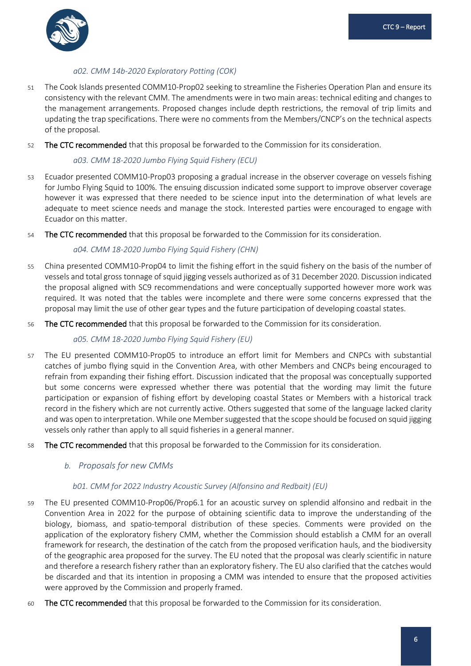

### *a02. CMM 14b-2020 Exploratory Potting (COK)*

- 51 The Cook Islands presented COMM10-Prop02 seeking to streamline the Fisheries Operation Plan and ensure its consistency with the relevant CMM. The amendments were in two main areas: technical editing and changes to the management arrangements. Proposed changes include depth restrictions, the removal of trip limits and updating the trap specifications. There were no comments from the Members/CNCP's on the technical aspects of the proposal.
- 52 The CTC recommended that this proposal be forwarded to the Commission for its consideration.

#### *a03. CMM 18-2020 Jumbo Flying Squid Fishery (ECU)*

- 53 Ecuador presented COMM10-Prop03 proposing a gradual increase in the observer coverage on vessels fishing for Jumbo Flying Squid to 100%. The ensuing discussion indicated some support to improve observer coverage however it was expressed that there needed to be science input into the determination of what levels are adequate to meet science needs and manage the stock. Interested parties were encouraged to engage with Ecuador on this matter.
- 54 The CTC recommended that this proposal be forwarded to the Commission for its consideration.

#### *a04. CMM 18-2020 Jumbo Flying Squid Fishery (CHN)*

- 55 China presented COMM10-Prop04 to limit the fishing effort in the squid fishery on the basis of the number of vessels and total gross tonnage of squid jigging vessels authorized as of 31 December 2020. Discussion indicated the proposal aligned with SC9 recommendations and were conceptually supported however more work was required. It was noted that the tables were incomplete and there were some concerns expressed that the proposal may limit the use of other gear types and the future participation of developing coastal states.
- 56 The CTC recommended that this proposal be forwarded to the Commission for its consideration.

### *a05. CMM 18-2020 Jumbo Flying Squid Fishery (EU)*

- 57 The EU presented COMM10-Prop05 to introduce an effort limit for Members and CNPCs with substantial catches of jumbo flying squid in the Convention Area, with other Members and CNCPs being encouraged to refrain from expanding their fishing effort. Discussion indicated that the proposal was conceptually supported but some concerns were expressed whether there was potential that the wording may limit the future participation or expansion of fishing effort by developing coastal States or Members with a historical track record in the fishery which are not currently active. Others suggested that some of the language lacked clarity and was open to interpretation. While one Member suggested that the scope should be focused on squid jigging vessels only rather than apply to all squid fisheries in a general manner.
- <span id="page-8-0"></span>58 The CTC recommended that this proposal be forwarded to the Commission for its consideration.

### *b. Proposals for new CMMs*

#### *b01. CMM for 2022 Industry Acoustic Survey (Alfonsino and Redbait) (EU)*

- 59 The EU presented COMM10-Prop06/Prop6.1 for an acoustic survey on splendid alfonsino and redbait in the Convention Area in 2022 for the purpose of obtaining scientific data to improve the understanding of the biology, biomass, and spatio-temporal distribution of these species. Comments were provided on the application of the exploratory fishery CMM, whether the Commission should establish a CMM for an overall framework for research, the destination of the catch from the proposed verification hauls, and the biodiversity of the geographic area proposed for the survey. The EU noted that the proposal was clearly scientific in nature and therefore a research fishery rather than an exploratory fishery. The EU also clarified that the catches would be discarded and that its intention in proposing a CMM was intended to ensure that the proposed activities were approved by the Commission and properly framed.
- 60 The CTC recommended that this proposal be forwarded to the Commission for its consideration.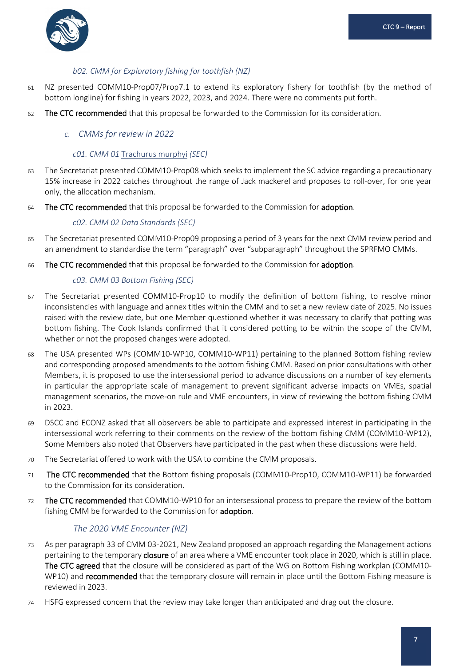

### *b02. CMM for Exploratory fishing for toothfish (NZ)*

- 61 NZ presented COMM10-Prop07/Prop7.1 to extend its exploratory fishery for toothfish (by the method of bottom longline) for fishing in years 2022, 2023, and 2024. There were no comments put forth.
- <span id="page-9-0"></span>62 The CTC recommended that this proposal be forwarded to the Commission for its consideration.

#### *c. CMMs for review in 2022*

#### *c01. CMM 01* Trachurus murphyi *(SEC)*

- 63 The Secretariat presented COMM10-Prop08 which seeks to implement the SC advice regarding a precautionary 15% increase in 2022 catches throughout the range of Jack mackerel and proposes to roll-over, for one year only, the allocation mechanism.
- 64 The CTC recommended that this proposal be forwarded to the Commission for adoption.

#### *c02. CMM 02 Data Standards (SEC)*

- 65 The Secretariat presented COMM10-Prop09 proposing a period of 3 years for the next CMM review period and an amendment to standardise the term "paragraph" over "subparagraph" throughout the SPRFMO CMMs.
- 66 The CTC recommended that this proposal be forwarded to the Commission for adoption.

#### *c03. CMM 03 Bottom Fishing (SEC)*

- 67 The Secretariat presented COMM10-Prop10 to modify the definition of bottom fishing, to resolve minor inconsistencies with language and annex titles within the CMM and to set a new review date of 2025. No issues raised with the review date, but one Member questioned whether it was necessary to clarify that potting was bottom fishing. The Cook Islands confirmed that it considered potting to be within the scope of the CMM, whether or not the proposed changes were adopted.
- 68 The USA presented WPs (COMM10-WP10, COMM10-WP11) pertaining to the planned Bottom fishing review and corresponding proposed amendments to the bottom fishing CMM. Based on prior consultations with other Members, it is proposed to use the intersessional period to advance discussions on a number of key elements in particular the appropriate scale of management to prevent significant adverse impacts on VMEs, spatial management scenarios, the move-on rule and VME encounters, in view of reviewing the bottom fishing CMM in 2023.
- 69 DSCC and ECONZ asked that all observers be able to participate and expressed interest in participating in the intersessional work referring to their comments on the review of the bottom fishing CMM (COMM10-WP12), Some Members also noted that Observers have participated in the past when these discussions were held.
- 70 The Secretariat offered to work with the USA to combine the CMM proposals.
- 71 The CTC recommended that the Bottom fishing proposals (COMM10-Prop10, COMM10-WP11) be forwarded to the Commission for its consideration.
- 72 The CTC recommended that COMM10-WP10 for an intersessional process to prepare the review of the bottom fishing CMM be forwarded to the Commission for adoption.

### *The 2020 VME Encounter (NZ)*

- 73 As per paragraph 33 of CMM 03-2021, New Zealand proposed an approach regarding the Management actions pertaining to the temporary **closure** of an area where a VME encounter took place in 2020, which is still in place. The CTC agreed that the closure will be considered as part of the WG on Bottom Fishing workplan (COMM10- WP10) and **recommended** that the temporary closure will remain in place until the Bottom Fishing measure is reviewed in 2023.
- 74 HSFG expressed concern that the review may take longer than anticipated and drag out the closure.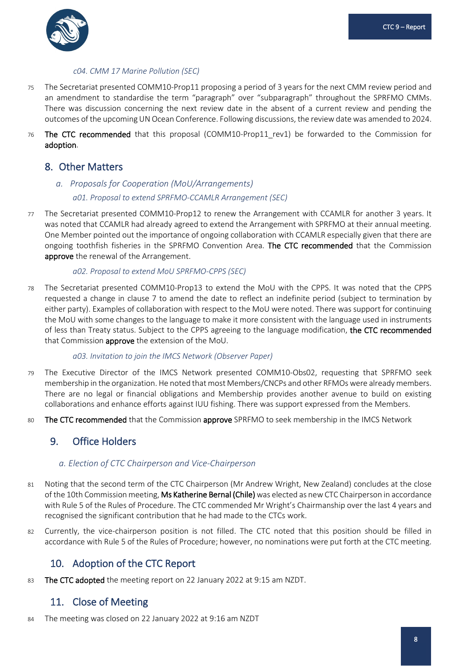

#### *c04. CMM 17 Marine Pollution (SEC)*

- 75 The Secretariat presented COMM10-Prop11 proposing a period of 3 years for the next CMM review period and an amendment to standardise the term "paragraph" over "subparagraph" throughout the SPRFMO CMMs. There was discussion concerning the next review date in the absent of a current review and pending the outcomes of the upcoming UN Ocean Conference. Following discussions, the review date was amended to 2024.
- 76 The CTC recommended that this proposal (COMM10-Prop11\_rev1) be forwarded to the Commission for adoption.

## <span id="page-10-0"></span>8. Other Matters

### <span id="page-10-1"></span>*a. Proposals for Cooperation (MoU/Arrangements) a01. Proposal to extend SPRFMO-CCAMLR Arrangement (SEC)*

77 The Secretariat presented COMM10-Prop12 to renew the Arrangement with CCAMLR for another 3 years. It was noted that CCAMLR had already agreed to extend the Arrangement with SPRFMO at their annual meeting. One Member pointed out the importance of ongoing collaboration with CCAMLR especially given that there are ongoing toothfish fisheries in the SPRFMO Convention Area. The CTC recommended that the Commission approve the renewal of the Arrangement.

#### *a02. Proposal to extend MoU SPRFMO-CPPS (SEC)*

78 The Secretariat presented COMM10-Prop13 to extend the MoU with the CPPS. It was noted that the CPPS requested a change in clause 7 to amend the date to reflect an indefinite period (subject to termination by either party). Examples of collaboration with respect to the MoU were noted. There was support for continuing the MoU with some changes to the language to make it more consistent with the language used in instruments of less than Treaty status. Subject to the CPPS agreeing to the language modification, the CTC recommended that Commission approve the extension of the MoU.

#### *a03. Invitation to join the IMCS Network (Observer Paper)*

- 79 The Executive Director of the IMCS Network presented COMM10-Obs02, requesting that SPRFMO seek membership in the organization. He noted that most Members/CNCPs and other RFMOs were already members. There are no legal or financial obligations and Membership provides another avenue to build on existing collaborations and enhance efforts against IUU fishing. There was support expressed from the Members.
- 80 The CTC recommended that the Commission approve SPRFMO to seek membership in the IMCS Network

## <span id="page-10-2"></span>9. Office Holders

### <span id="page-10-3"></span>*a. Election of CTC Chairperson and Vice-Chairperson*

- 81 Noting that the second term of the CTC Chairperson (Mr Andrew Wright, New Zealand) concludes at the close of the 10th Commission meeting, Ms Katherine Bernal (Chile) was elected as new CTC Chairperson in accordance with Rule 5 of the Rules of Procedure. The CTC commended Mr Wright's Chairmanship over the last 4 years and recognised the significant contribution that he had made to the CTCs work.
- 82 Currently, the vice-chairperson position is not filled. The CTC noted that this position should be filled in accordance with Rule 5 of the Rules of Procedure; however, no nominations were put forth at the CTC meeting.

## <span id="page-10-4"></span>10. Adoption of the CTC Report

83 The CTC adopted the meeting report on 22 January 2022 at 9:15 am NZDT.

## <span id="page-10-5"></span>11. Close of Meeting

84 The meeting was closed on 22 January 2022 at 9:16 am NZDT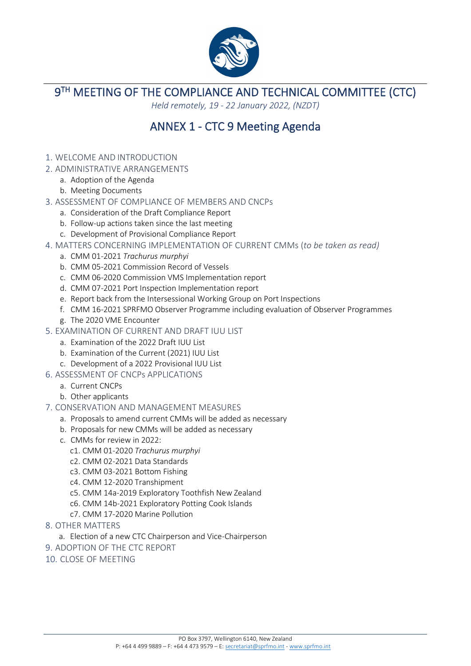

**9TH MEETING OF THE COMPLIANCE AND TECHNICAL COMMITTEE (CTC)** 

*Held remotely, 19 - 22 January 2022, (NZDT)*

# ANNEX 1 - CTC 9 Meeting Agenda

- <span id="page-11-0"></span>1. WELCOME AND INTRODUCTION
- 2. ADMINISTRATIVE ARRANGEMENTS
	- a. Adoption of the Agenda
	- b. Meeting Documents
- 3. ASSESSMENT OF COMPLIANCE OF MEMBERS AND CNCPs
	- a. Consideration of the Draft Compliance Report
	- b. Follow-up actions taken since the last meeting
	- c. Development of Provisional Compliance Report
- 4. MATTERS CONCERNING IMPLEMENTATION OF CURRENT CMMs (*to be taken as read)*
	- a. CMM 01-2021 *Trachurus murphyi*
	- b. CMM 05-2021 Commission Record of Vessels
	- c. CMM 06-2020 Commission VMS Implementation report
	- d. CMM 07-2021 Port Inspection Implementation report
	- e. Report back from the Intersessional Working Group on Port Inspections
	- f. CMM 16-2021 SPRFMO Observer Programme including evaluation of Observer Programmes
	- g. The 2020 VME Encounter
- 5. EXAMINATION OF CURRENT AND DRAFT IUU LIST
	- a. Examination of the 2022 Draft IUU List
	- b. Examination of the Current (2021) IUU List
	- c. Development of a 2022 Provisional IUU List
- 6. ASSESSMENT OF CNCPs APPLICATIONS
	- a. Current CNCPs
	- b. Other applicants
- 7. CONSERVATION AND MANAGEMENT MEASURES
	- a. Proposals to amend current CMMs will be added as necessary
	- b. Proposals for new CMMs will be added as necessary
	- c. CMMs for review in 2022:
		- c1. CMM 01-2020 *Trachurus murphyi*
		- c2. CMM 02-2021 Data Standards
		- c3. CMM 03-2021 Bottom Fishing
		- c4. CMM 12-2020 Transhipment
		- c5. CMM 14a-2019 Exploratory Toothfish New Zealand
		- c6. CMM 14b-2021 Exploratory Potting Cook Islands
		- c7. CMM 17-2020 Marine Pollution
- 8. OTHER MATTERS
	- a. Election of a new CTC Chairperson and Vice-Chairperson
- 9. ADOPTION OF THE CTC REPORT
- 10. CLOSE OF MEETING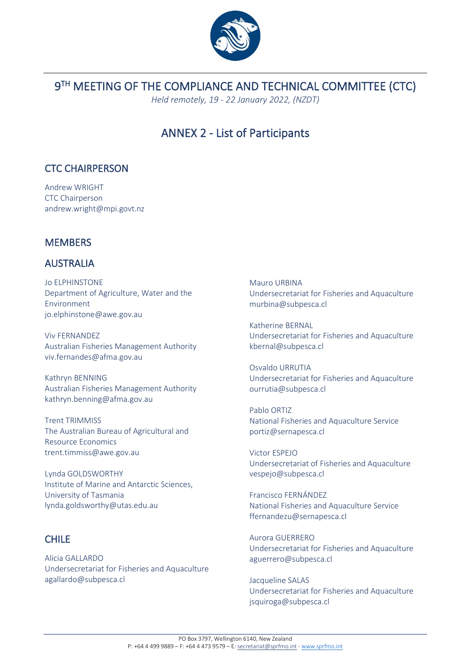

# 9TH MEETING OF THE COMPLIANCE AND TECHNICAL COMMITTEE (CTC)

*Held remotely, 19 - 22 January 2022, (NZDT)*

# ANNEX 2 - List of Participants

## <span id="page-12-0"></span>CTC CHAIRPERSON

Andrew WRIGHT CTC Chairperson andrew.wright@mpi.govt.nz

## **MEMBERS**

## AUSTRALIA

Jo ELPHINSTONE Department of Agriculture, Water and the Environment jo.elphinstone@awe.gov.au

Viv FERNANDEZ Australian Fisheries Management Authority viv.fernandes@afma.gov.au

Kathryn BENNING Australian Fisheries Management Authority kathryn.benning@afma.gov.au

Trent TRIMMISS The Australian Bureau of Agricultural and Resource Economics trent.timmiss@awe.gov.au

Lynda GOLDSWORTHY Institute of Marine and Antarctic Sciences, University of Tasmania lynda.goldsworthy@utas.edu.au

## CHILE

Alicia GALLARDO Undersecretariat for Fisheries and Aquaculture agallardo@subpesca.cl

Mauro URBINA Undersecretariat for Fisheries and Aquaculture murbina@subpesca.cl

Katherine BERNAL Undersecretariat for Fisheries and Aquaculture kbernal@subpesca.cl

Osvaldo URRUTIA Undersecretariat for Fisheries and Aquaculture ourrutia@subpesca.cl

Pablo ORTIZ National Fisheries and Aquaculture Service portiz@sernapesca.cl

Victor ESPEJO Undersecretariat of Fisheries and Aquaculture vespejo@subpesca.cl

Francisco FERNÁNDEZ National Fisheries and Aquaculture Service ffernandezu@sernapesca.cl

Aurora GUERRERO Undersecretariat for Fisheries and Aquaculture aguerrero@subpesca.cl

Jacqueline SALAS Undersecretariat for Fisheries and Aquaculture jsquiroga@subpesca.cl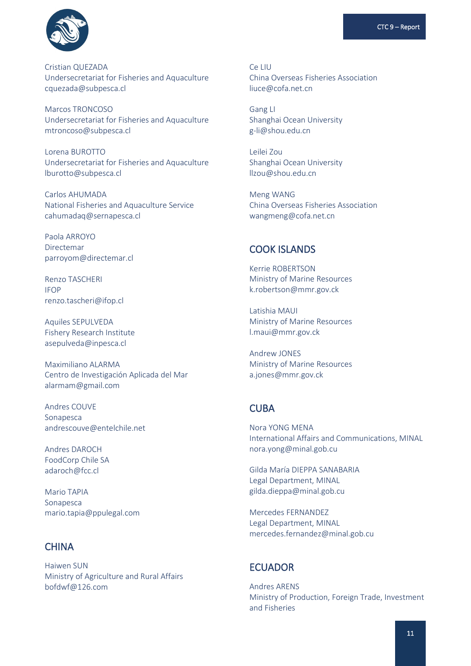

Cristian QUEZADA Undersecretariat for Fisheries and Aquaculture cquezada@subpesca.cl

Marcos TRONCOSO Undersecretariat for Fisheries and Aquaculture mtroncoso@subpesca.cl

Lorena BUROTTO Undersecretariat for Fisheries and Aquaculture lburotto@subpesca.cl

Carlos AHUMADA National Fisheries and Aquaculture Service cahumadaq@sernapesca.cl

Paola ARROYO Directemar parroyom@directemar.cl

Renzo TASCHERI IFOP renzo.tascheri@ifop.cl

Aquiles SEPULVEDA Fishery Research Institute asepulveda@inpesca.cl

Maximiliano ALARMA Centro de Investigación Aplicada del Mar alarmam@gmail.com

Andres COUVE Sonapesca andrescouve@entelchile.net

Andres DAROCH FoodCorp Chile SA adaroch@fcc.cl

Mario TAPIA Sonapesca mario.tapia@ppulegal.com

## **CHINA**

Haiwen SUN Ministry of Agriculture and Rural Affairs bofdwf@126.com

Ce LIU China Overseas Fisheries Association liuce@cofa.net.cn

Gang LI Shanghai Ocean University g-li@shou.edu.cn

Leilei Zou Shanghai Ocean University llzou@shou.edu.cn

Meng WANG China Overseas Fisheries Association wangmeng@cofa.net.cn

### COOK ISLANDS

Kerrie ROBERTSON Ministry of Marine Resources k.robertson@mmr.gov.ck

Latishia MAUI Ministry of Marine Resources l.maui@mmr.gov.ck

Andrew JONES Ministry of Marine Resources a.jones@mmr.gov.ck

## **CUBA**

Nora YONG MENA International Affairs and Communications, MINAL nora.yong@minal.gob.cu

Gilda María DIEPPA SANABARIA Legal Department, MINAL gilda.dieppa@minal.gob.cu

Mercedes FERNANDEZ Legal Department, MINAL mercedes.fernandez@minal.gob.cu

## **ECUADOR**

Andres ARENS Ministry of Production, Foreign Trade, Investment and Fisheries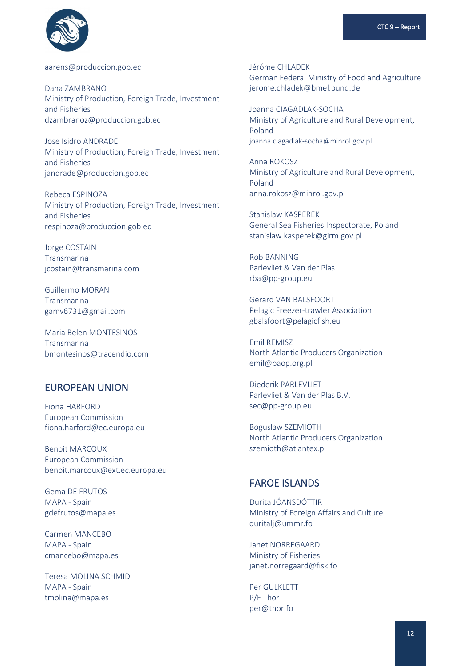

aarens@produccion.gob.ec

Dana ZAMBRANO Ministry of Production, Foreign Trade, Investment and Fisheries dzambranoz@produccion.gob.ec

Jose Isidro ANDRADE Ministry of Production, Foreign Trade, Investment and Fisheries jandrade@produccion.gob.ec

Rebeca ESPINOZA Ministry of Production, Foreign Trade, Investment and Fisheries respinoza@produccion.gob.ec

Jorge COSTAIN Transmarina jcostain@transmarina.com

Guillermo MORAN Transmarina gamv6731@gmail.com

Maria Belen MONTESINOS Transmarina bmontesinos@tracendio.com

## **EUROPEAN UNION**

Fiona HARFORD **European Commission** fiona.harford@ec.europa.eu

**Benoit MARCOUX European Commission** benoit.marcoux@ext.ec.europa.eu

**Gema DE FRUTOS** MAPA - Spain gdefrutos@mapa.es

Carmen MANCERO MAPA - Spain cmancebo@mapa.es

Teresa MOLINA SCHMID MAPA - Spain tmolina@mapa.es

Jéróme CHI ADEK German Federal Ministry of Food and Agriculture jerome.chladek@bmel.bund.de

Joanna CIAGADI AK-SOCHA Ministry of Agriculture and Rural Development, Poland joanna.ciagadlak-socha@minrol.gov.pl

Anna ROKOSZ Ministry of Agriculture and Rural Development, Poland anna.rokosz@minrol.gov.pl

**Stanislaw KASPEREK** General Sea Fisheries Inspectorate, Poland stanislaw.kasperek@girm.gov.pl

**Rob BANNING** Parleyliet & Van der Plas rba@pp-group.eu

Gerard VAN BALSFOORT Pelagic Freezer-trawler Association gbalsfoort@pelagicfish.eu

Emil REMISZ North Atlantic Producers Organization emil@paop.org.pl

Diederik PARI FVLIFT Parleyliet & Van der Plas B.V. sec@pp-group.eu

Boguslaw SZEMIOTH North Atlantic Producers Organization szemioth@atlantex.pl

## **FAROE ISLANDS**

Durita JÓANSDÓTTIR Ministry of Foreign Affairs and Culture duritalj@ummr.fo

Janet NORREGAARD Ministry of Fisheries janet.norregaard@fisk.fo

Per GULKLETT P/F Thor per@thor.fo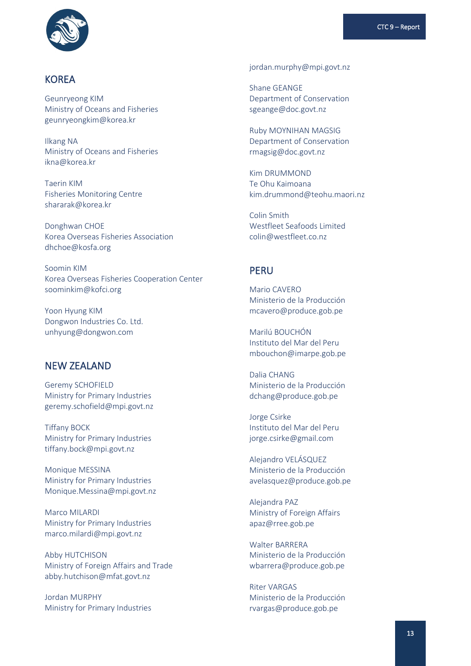

### **KOREA**

Geunryeong KIM Ministry of Oceans and Fisheries geunryeongkim@korea.kr

Ilkang NA Ministry of Oceans and Fisheries ikna@korea.kr

Taerin KIM Fisheries Monitoring Centre shararak@korea.kr

Donghwan CHOE Korea Overseas Fisheries Association dhchoe@kosfa.org

Soomin KIM Korea Overseas Fisheries Cooperation Center soominkim@kofci.org

Yoon Hyung KIM Dongwon Industries Co. Ltd. unhyung@dongwon.com

### NEW ZEALAND

Geremy SCHOFIELD Ministry for Primary Industries geremy.schofield@mpi.govt.nz

Tiffany BOCK Ministry for Primary Industries tiffany.bock@mpi.govt.nz

Monique MESSINA Ministry for Primary Industries Monique.Messina@mpi.govt.nz

Marco MILARDI Ministry for Primary Industries marco.milardi@mpi.govt.nz

Abby HUTCHISON Ministry of Foreign Affairs and Trade abby.hutchison@mfat.govt.nz

Jordan MURPHY Ministry for Primary Industries jordan.murphy@mpi.govt.nz

Shane GEANGE Department of Conservation sgeange@doc.govt.nz

Ruby MOYNIHAN MAGSIG Department of Conservation rmagsig@doc.govt.nz

Kim DRUMMOND Te Ohu Kaimoana kim.drummond@teohu.maori.nz

Colin Smith Westfleet Seafoods Limited colin@westfleet.co.nz

### PERU

Mario CAVERO Ministerio de la Producción mcavero@produce.gob.pe

Marilú BOUCHÓN Instituto del Mar del Peru mbouchon@imarpe.gob.pe

Dalia CHANG Ministerio de la Producción dchang@produce.gob.pe

Jorge Csirke Instituto del Mar del Peru jorge.csirke@gmail.com

Alejandro VELÁSQUEZ Ministerio de la Producción avelasquez@produce.gob.pe

Alejandra PAZ Ministry of Foreign Affairs apaz@rree.gob.pe

Walter BARRERA Ministerio de la Producción wbarrera@produce.gob.pe

Riter VARGAS Ministerio de la Producción rvargas@produce.gob.pe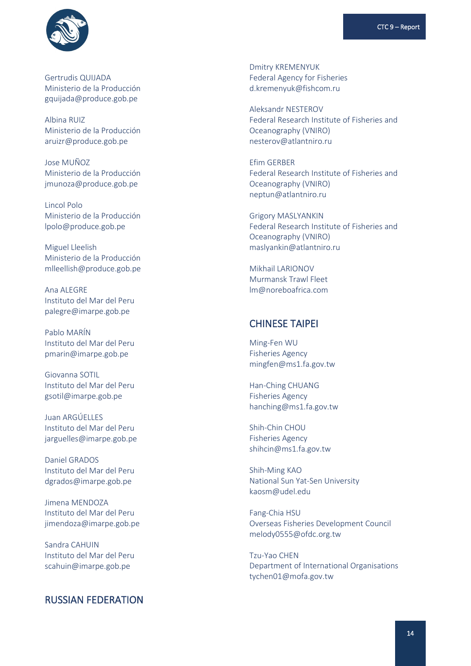

Gertrudis QUIJADA Ministerio de la Producción gquijada@produce.gob.pe

Albina RUIZ Ministerio de la Producción aruizr@produce.gob.pe

Jose MUÑOZ Ministerio de la Producción jmunoza@produce.gob.pe

Lincol Polo Ministerio de la Producción lpolo@produce.gob.pe

Miguel Lleelish Ministerio de la Producción mlleellish@produce.gob.pe

Ana ALEGRE Instituto del Mar del Peru palegre@imarpe.gob.pe

Pablo MARÍN Instituto del Mar del Peru pmarin@imarpe.gob.pe

Giovanna SOTIL Instituto del Mar del Peru gsotil@imarpe.gob.pe

Juan ARGÚELLES Instituto del Mar del Peru jarguelles@imarpe.gob.pe

Daniel GRADOS Instituto del Mar del Peru dgrados@imarpe.gob.pe

Jimena MENDOZA Instituto del Mar del Peru jimendoza@imarpe.gob.pe

Sandra CAHUIN Instituto del Mar del Peru scahuin@imarpe.gob.pe

### RUSSIAN FEDERATION

Dmitry KREMENYUK Federal Agency for Fisheries d.kremenyuk@fishcom.ru

Aleksandr NESTEROV Federal Research Institute of Fisheries and Oceanography (VNIRO) nesterov@atlantniro.ru

Efim GERBER Federal Research Institute of Fisheries and Oceanography (VNIRO) neptun@atlantniro.ru

Grigory MASLYANKIN Federal Research Institute of Fisheries and Oceanography (VNIRO) maslyankin@atlantniro.ru

Mikhail LARIONOV Murmansk Trawl Fleet lm@noreboafrica.com

### CHINESE TAIPEI

Ming-Fen WU Fisheries Agency mingfen@ms1.fa.gov.tw

Han-Ching CHUANG Fisheries Agency [hanching@ms1.fa.gov.tw](mailto:hanching@ms1.fa.gov.tw)

Shih-Chin CHOU Fisheries Agency shihcin@ms1.fa.gov.tw

Shih-Ming KAO National Sun Yat-Sen University kaosm@udel.edu

Fang-Chia HSU Overseas Fisheries Development Council melody0555@ofdc.org.tw

Tzu-Yao CHEN Department of International Organisations tychen01@mofa.gov.tw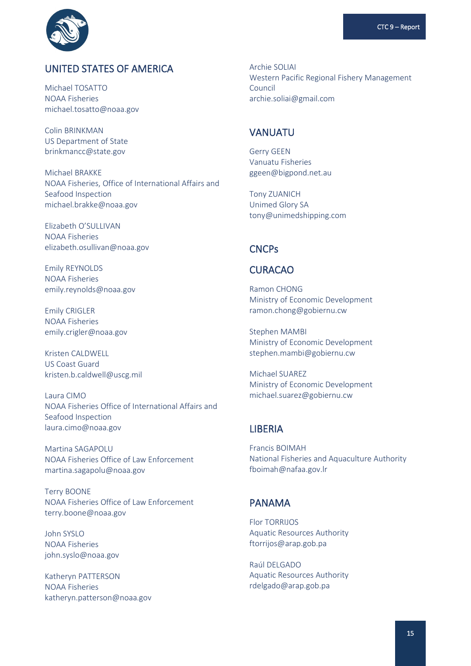

## UNITED STATES OF AMERICA

Michael TOSATTO NOAA Fisheries michael.tosatto@noaa.gov

Colin BRINKMAN US Department of State brinkmancc@state.gov

Michael BRAKKE NOAA Fisheries, Office of International Affairs and Seafood Inspection michael.brakke@noaa.gov

Elizabeth O'SULLIVAN NOAA Fisheries elizabeth.osullivan@noaa.gov

Emily REYNOLDS NOAA Fisheries emily.reynolds@noaa.gov

Emily CRIGLER NOAA Fisheries emily.crigler@noaa.gov

Kristen CALDWELL US Coast Guard kristen.b.caldwell@uscg.mil

Laura CIMO NOAA Fisheries Office of International Affairs and Seafood Inspection laura.cimo@noaa.gov

Martina SAGAPOLU NOAA Fisheries Office of Law Enforcement martina.sagapolu@noaa.gov

Terry BOONE NOAA Fisheries Office of Law Enforcement terry.boone@noaa.gov

John SYSLO NOAA Fisheries john.syslo@noaa.gov

Katheryn PATTERSON NOAA Fisheries katheryn.patterson@noaa.gov Archie SOLIAI Western Pacific Regional Fishery Management Council archie.soliai@gmail.com

### VANUATU

Gerry GEEN Vanuatu Fisheries ggeen@bigpond.net.au

Tony ZUANICH Unimed Glory SA tony@unimedshipping.com

### CNCPs

### CURACAO

Ramon CHONG Ministry of Economic Development ramon.chong@gobiernu.cw

Stephen MAMBI Ministry of Economic Development stephen.mambi@gobiernu.cw

Michael SUAREZ Ministry of Economic Development michael.suarez@gobiernu.cw

## **LIBERIA**

Francis BOIMAH National Fisheries and Aquaculture Authority fboimah@nafaa.gov.lr

### PANAMA

Flor TORRIJOS Aquatic Resources Authority ftorrijos@arap.gob.pa

Raúl DELGADO Aquatic Resources Authority rdelgado@arap.gob.pa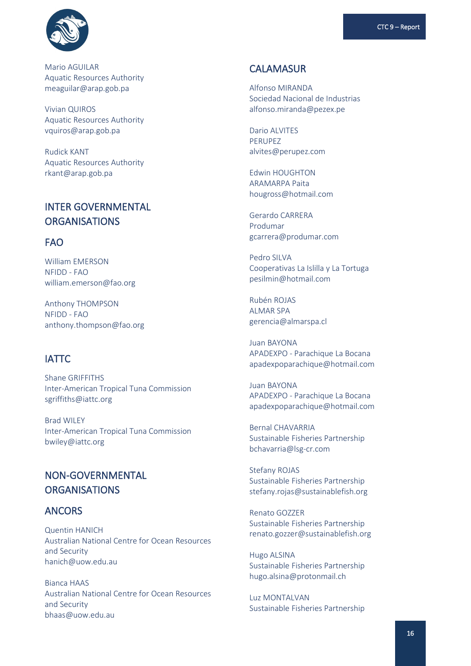

Mario AGUILAR Aquatic Resources Authority [meaguilar@arap.gob.pa](mailto:meaguilar@arap.gob.pa)

Vivian QUIROS Aquatic Resources Authority vquiros@arap.gob.pa

Rudick KANT Aquatic Resources Authority rkant@arap.gob.pa

## INTER GOVERNMENTAL **ORGANISATIONS**

### FAO

William EMERSON NFIDD - FAO william.emerson@fao.org

Anthony THOMPSON NFIDD - FAO anthony.thompson@fao.org

## IATTC

Shane GRIFFITHS Inter-American Tropical Tuna Commission sgriffiths@iattc.org

Brad WILEY Inter-American Tropical Tuna Commission bwiley@iattc.org

## NON-GOVERNMENTAL **ORGANISATIONS**

### ANCORS

Quentin HANICH Australian National Centre for Ocean Resources and Security hanich@uow.edu.au

Bianca HAAS Australian National Centre for Ocean Resources and Security bhaas@uow.edu.au

## CALAMASUR

Alfonso MIRANDA Sociedad Nacional de Industrias alfonso.miranda@pezex.pe

Dario ALVITES PERUPEZ alvites@perupez.com

Edwin HOUGHTON ARAMARPA Paita hougross@hotmail.com

Gerardo CARRERA Produmar gcarrera@produmar.com

Pedro SILVA Cooperativas La Islilla y La Tortuga pesilmin@hotmail.com

Rubén ROJAS ALMAR SPA gerencia@almarspa.cl

Juan BAYONA APADEXPO - Parachique La Bocana apadexpoparachique@hotmail.com

Juan BAYONA APADEXPO - Parachique La Bocana apadexpoparachique@hotmail.com

Bernal CHAVARRIA Sustainable Fisheries Partnership bchavarria@lsg-cr.com

Stefany ROJAS Sustainable Fisheries Partnership stefany.rojas@sustainablefish.org

Renato GOZZER Sustainable Fisheries Partnership renato.gozzer@sustainablefish.org

Hugo ALSINA Sustainable Fisheries Partnership hugo.alsina@protonmail.ch

Luz MONTALVAN Sustainable Fisheries Partnership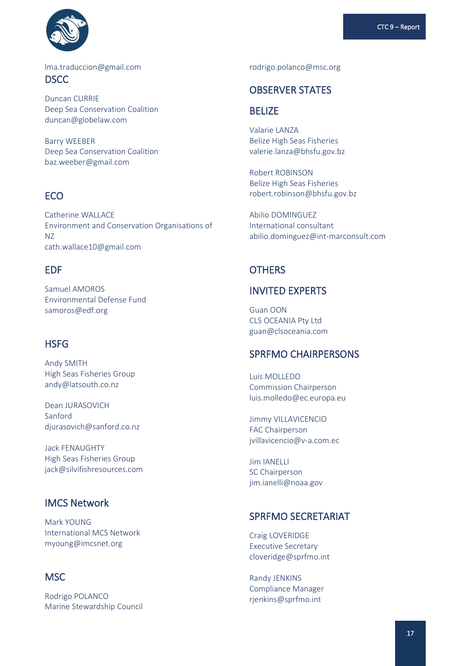

lma.traduccion@gmail.com **DSCC** 

Duncan CURRIE Deep Sea Conservation Coalition duncan@globelaw.com

Barry WEEBER Deep Sea Conservation Coalition baz.weeber@gmail.com

## **ECO**

Catherine WALLACE Environment and Conservation Organisations of NZ cath.wallace10@gmail.com

## EDF

Samuel AMOROS Environmental Defense Fund samoros@edf.org

## **HSFG**

Andy SMITH High Seas Fisheries Group andy@latsouth.co.nz

Dean JURASOVICH Sanford [djurasovich@sanford.co.nz](mailto:djurasovich@sanford.co.nz)

Jack FENAUGHTY High Seas Fisheries Group jack@silvifishresources.com

## IMCS Network

Mark YOUNG International MCS Network myoung@imcsnet.org

## **MSC**

Rodrigo POLANCO Marine Stewardship Council rodrigo.polanco@msc.org

### OBSERVER STATES

## **BELIZE**

Valarie LANZA Belize High Seas Fisheries valerie.lanza@bhsfu.gov.bz

Robert ROBINSON Belize High Seas Fisheries robert.robinson@bhsfu.gov.bz

Abilio DOMINGUEZ International consultant abilio.dominguez@int-marconsult.com

### **OTHERS**

## INVITED EXPERTS

Guan OON CLS OCEANIA Pty Ltd guan@clsoceania.com

### SPRFMO CHAIRPERSONS

Luis MOLLEDO Commission Chairperson luis.molledo@ec.europa.eu

Jimmy VILLAVICENCIO FAC Chairperson jvillavicencio@v-a.com.ec

Jim IANELLI SC Chairperson jim.ianelli@noaa.gov

## SPRFMO SECRETARIAT

Craig LOVERIDGE Executive Secretary cloveridge@sprfmo.int

Randy JENKINS Compliance Manager rjenkins@sprfmo.int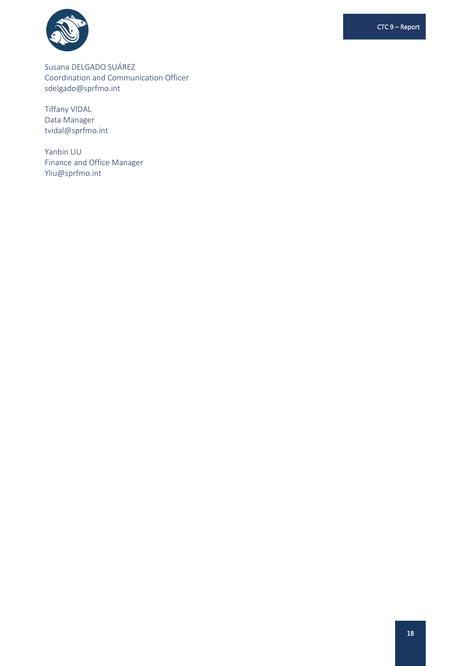

CTC 9 - Report

Susana DELGADO SUÁREZ Coordination and Communication Officer sdelgado@sprfmo.int

**Tiffany VIDAL** Data Manager tvidal@sprfmo.int

Yanbin LIU Finance and Office Manager Yliu@sprfmo.int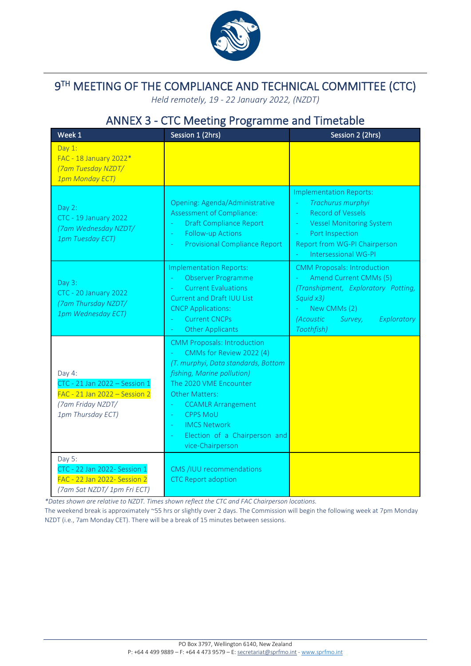

# $9<sup>TH</sup>$  MEETING OF THE COMPLIANCE AND TECHNICAL COMMITTEE (CTC)

*Held remotely, 19 - 22 January 2022, (NZDT)*

# ANNEX 3 - CTC Meeting Programme and Timetable

<span id="page-21-0"></span>

| Week 1                                                                                                             | Session 1 (2hrs)                                                                                                                                                                                                                                                                                                        | Session 2 (2hrs)                                                                                                                                                                               |
|--------------------------------------------------------------------------------------------------------------------|-------------------------------------------------------------------------------------------------------------------------------------------------------------------------------------------------------------------------------------------------------------------------------------------------------------------------|------------------------------------------------------------------------------------------------------------------------------------------------------------------------------------------------|
| Day $1$ :<br>FAC - 18 January 2022*<br>(7am Tuesday NZDT/<br>1pm Monday ECT)                                       |                                                                                                                                                                                                                                                                                                                         |                                                                                                                                                                                                |
| Day 2:<br><b>CTC - 19 January 2022</b><br>(7am Wednesday NZDT/<br>1pm Tuesday ECT)                                 | Opening: Agenda/Administrative<br>Assessment of Compliance:<br><b>Draft Compliance Report</b><br><b>Follow-up Actions</b><br>L,<br>Provisional Compliance Report                                                                                                                                                        | <b>Implementation Reports:</b><br>Trachurus murphyi<br><b>Record of Vessels</b><br><b>Vessel Monitoring System</b><br>Port Inspection<br>Report from WG-PI Chairperson<br>Intersessional WG-PI |
| Day 3:<br>CTC - 20 January 2022<br>(7am Thursday NZDT/<br>1pm Wednesday ECT)                                       | <b>Implementation Reports:</b><br>Observer Programme<br><b>Current Evaluations</b><br><b>Current and Draft IUU List</b><br><b>CNCP Applications:</b><br><b>Current CNCPs</b><br><b>Other Applicants</b>                                                                                                                 | <b>CMM Proposals: Introduction</b><br>Amend Current CMMs (5)<br>(Transhipment, Exploratory Potting,<br>Squid x3)<br>New CMMs (2)<br>(Acoustic<br>Exploratory<br>Survey,<br>Toothfish)          |
| Day 4:<br>CTC - 21 Jan 2022 - Session 1<br>FAC - 21 Jan 2022 - Session 2<br>(7am Friday NZDT/<br>1pm Thursday ECT) | <b>CMM Proposals: Introduction</b><br>CMMs for Review 2022 (4)<br>(T. murphyi, Data standards, Bottom<br>fishing, Marine pollution)<br>The 2020 VME Encounter<br><b>Other Matters:</b><br><b>CCAMLR Arrangement</b><br><b>CPPS MoU</b><br><b>IMCS Network</b><br>÷<br>Election of a Chairperson and<br>vice-Chairperson |                                                                                                                                                                                                |
| Day 5:<br>CTC - 22 Jan 2022- Session 1<br>FAC - 22 Jan 2022- Session 2<br>(7am Sat NZDT/1pm Fri ECT)               | CMS /IUU recommendations<br><b>CTC Report adoption</b>                                                                                                                                                                                                                                                                  |                                                                                                                                                                                                |

*\*Dates shown are relative to NZDT. Times shown reflect the CTC and FAC Chairperson locations.*

The weekend break is approximately ~55 hrs or slightly over 2 days. The Commission will begin the following week at 7pm Monday NZDT (i.e., 7am Monday CET). There will be a break of 15 minutes between sessions.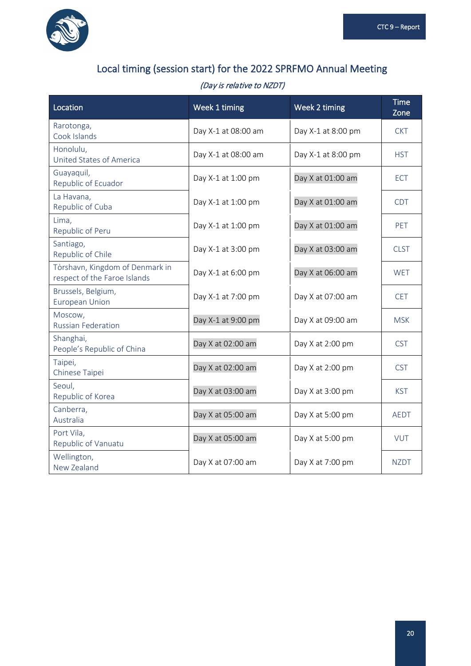

# Local timing (session start) for the 2022 SPRFMO Annual Meeting

## (Day is relative to NZDT)

| Location                                                        | Week 1 timing       | Week 2 timing      | <b>Time</b><br>Zone |
|-----------------------------------------------------------------|---------------------|--------------------|---------------------|
| Rarotonga,<br>Cook Islands                                      | Day X-1 at 08:00 am | Day X-1 at 8:00 pm | <b>CKT</b>          |
| Honolulu,<br>United States of America                           | Day X-1 at 08:00 am | Day X-1 at 8:00 pm | <b>HST</b>          |
| Guayaquil,<br>Republic of Ecuador                               | Day X-1 at 1:00 pm  | Day X at 01:00 am  | <b>ECT</b>          |
| La Havana,<br>Republic of Cuba                                  | Day X-1 at 1:00 pm  | Day X at 01:00 am  | <b>CDT</b>          |
| Lima,<br>Republic of Peru                                       | Day X-1 at 1:00 pm  | Day X at 01:00 am  | <b>PET</b>          |
| Santiago,<br>Republic of Chile                                  | Day X-1 at 3:00 pm  | Day X at 03:00 am  | <b>CLST</b>         |
| Tórshavn, Kingdom of Denmark in<br>respect of the Faroe Islands | Day X-1 at 6:00 pm  | Day X at 06:00 am  | <b>WET</b>          |
| Brussels, Belgium,<br><b>European Union</b>                     | Day X-1 at 7:00 pm  | Day X at 07:00 am  | <b>CET</b>          |
| Moscow,<br><b>Russian Federation</b>                            | Day X-1 at 9:00 pm  | Day X at 09:00 am  | <b>MSK</b>          |
| Shanghai,<br>People's Republic of China                         | Day X at 02:00 am   | Day X at 2:00 pm   | <b>CST</b>          |
| Taipei,<br>Chinese Taipei                                       | Day X at 02:00 am   | Day X at 2:00 pm   | <b>CST</b>          |
| Seoul,<br>Republic of Korea                                     | Day X at 03:00 am   | Day X at 3:00 pm   | <b>KST</b>          |
| Canberra,<br>Australia                                          | Day X at 05:00 am   | Day X at 5:00 pm   | <b>AEDT</b>         |
| Port Vila,<br>Republic of Vanuatu                               | Day X at 05:00 am   | Day X at 5:00 pm   | <b>VUT</b>          |
| Wellington,<br>New Zealand                                      | Day X at 07:00 am   | Day X at 7:00 pm   | <b>NZDT</b>         |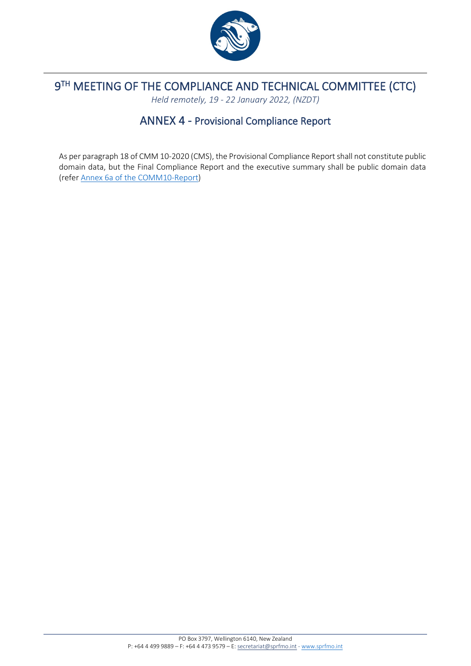

# <span id="page-23-0"></span> $9<sup>TH</sup>$  MEETING OF THE COMPLIANCE AND TECHNICAL COMMITTEE (CTC)

*Held remotely, 19 - 22 January 2022, (NZDT)*

## ANNEX 4 - Provisional Compliance Report

As per paragraph 18 of CMM 10-2020 (CMS), the Provisional Compliance Report shall not constitute public domain data, but the Final Compliance Report and the executive summary shall be public domain data (refer [Annex 6a of the COMM10-Report\)](https://www.sprfmo.int/meetings/comm/10th-commission-2022/)